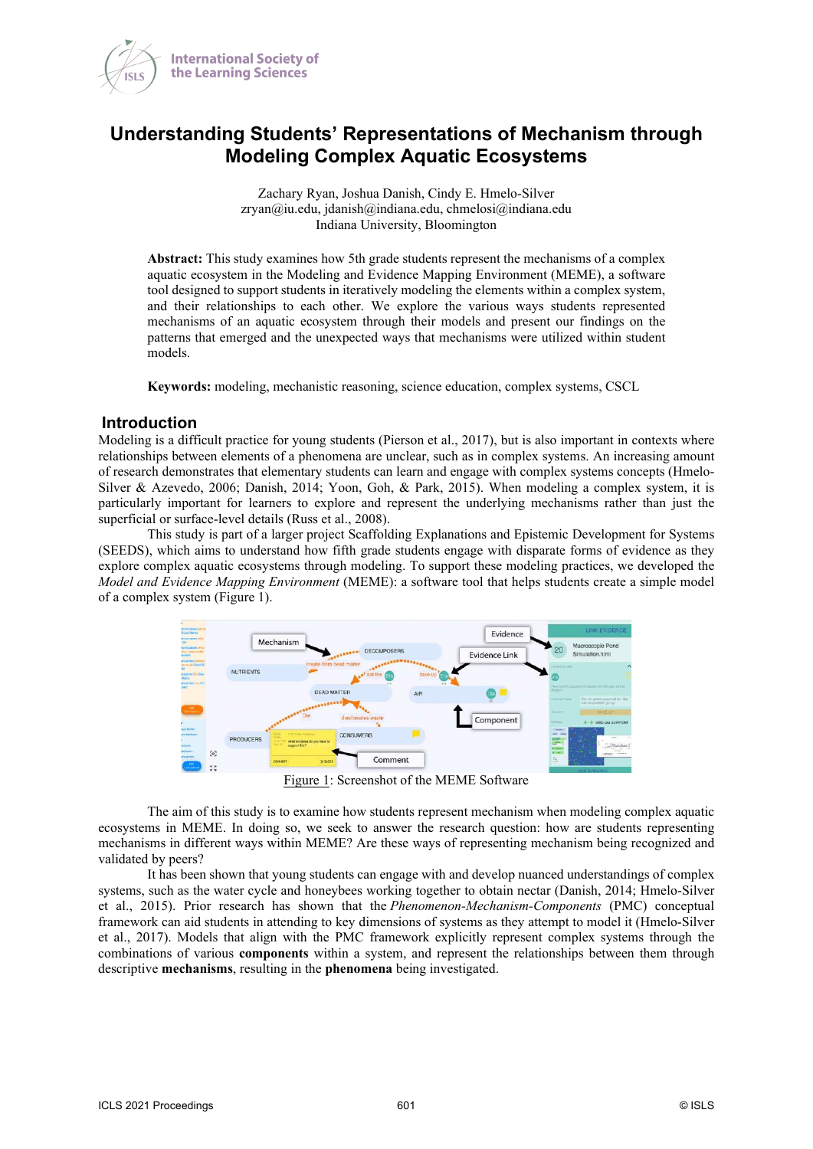

# **Understanding Students' Representations of Mechanism through Modeling Complex Aquatic Ecosystems**

Zachary Ryan, Joshua Danish, Cindy E. Hmelo-Silver zryan@iu.edu, jdanish@indiana.edu, chmelosi@indiana.edu Indiana University, Bloomington

**Abstract:** This study examines how 5th grade students represent the mechanisms of a complex aquatic ecosystem in the Modeling and Evidence Mapping Environment (MEME), a software tool designed to support students in iteratively modeling the elements within a complex system, and their relationships to each other. We explore the various ways students represented mechanisms of an aquatic ecosystem through their models and present our findings on the patterns that emerged and the unexpected ways that mechanisms were utilized within student models.

**Keywords:** modeling, mechanistic reasoning, science education, complex systems, CSCL

#### **Introduction**

Modeling is a difficult practice for young students (Pierson et al., 2017), but is also important in contexts where relationships between elements of a phenomena are unclear, such as in complex systems. An increasing amount of research demonstrates that elementary students can learn and engage with complex systems concepts (Hmelo-Silver & Azevedo, 2006; Danish, 2014; Yoon, Goh, & Park, 2015). When modeling a complex system, it is particularly important for learners to explore and represent the underlying mechanisms rather than just the superficial or surface-level details (Russ et al., 2008).

This study is part of a larger project Scaffolding Explanations and Epistemic Development for Systems (SEEDS), which aims to understand how fifth grade students engage with disparate forms of evidence as they explore complex aquatic ecosystems through modeling. To support these modeling practices, we developed the *Model and Evidence Mapping Environment* (MEME): a software tool that helps students create a simple model of a complex system (Figure 1).



Figure 1: Screenshot of the MEME Software

The aim of this study is to examine how students represent mechanism when modeling complex aquatic ecosystems in MEME. In doing so, we seek to answer the research question: how are students representing mechanisms in different ways within MEME? Are these ways of representing mechanism being recognized and validated by peers?

It has been shown that young students can engage with and develop nuanced understandings of complex systems, such as the water cycle and honeybees working together to obtain nectar (Danish, 2014; Hmelo-Silver et al., 2015). Prior research has shown that the *Phenomenon-Mechanism-Components* (PMC) conceptual framework can aid students in attending to key dimensions of systems as they attempt to model it (Hmelo-Silver et al., 2017). Models that align with the PMC framework explicitly represent complex systems through the combinations of various **components** within a system, and represent the relationships between them through descriptive **mechanisms**, resulting in the **phenomena** being investigated.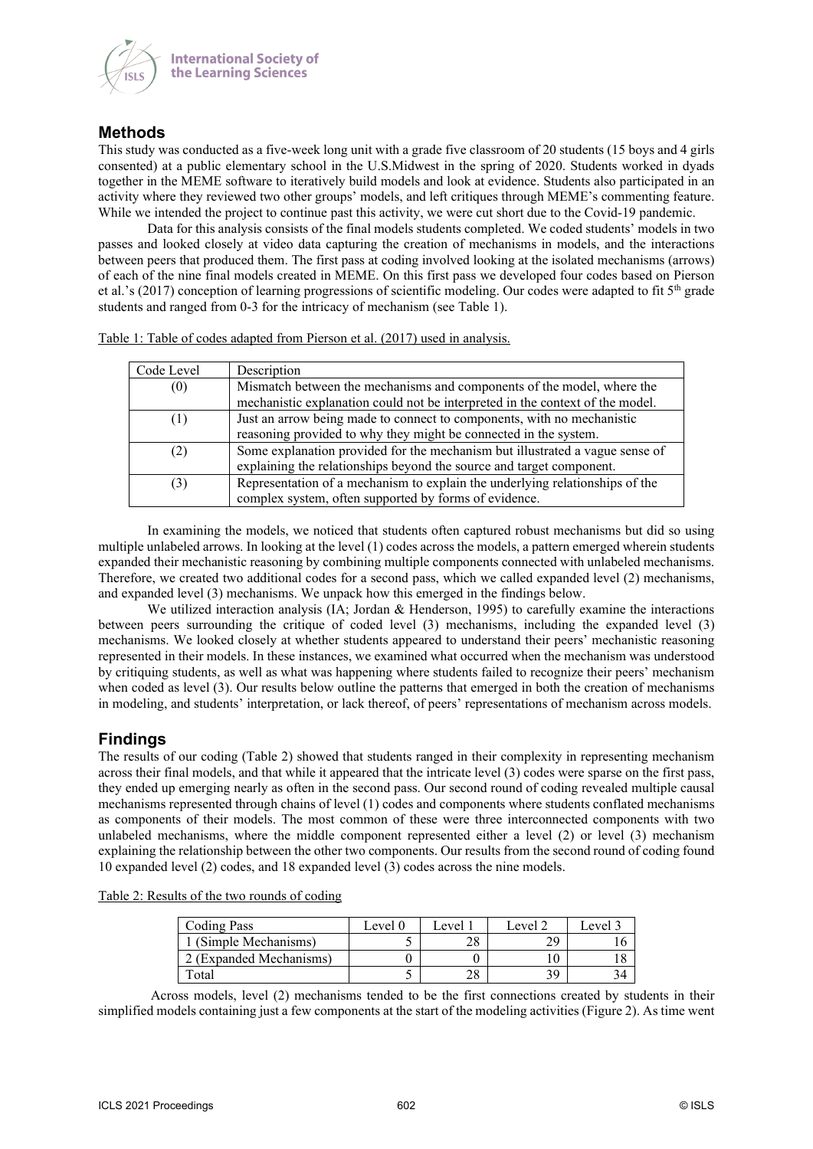

## **Methods**

This study was conducted as a five-week long unit with a grade five classroom of 20 students (15 boys and 4 girls consented) at a public elementary school in the U.S.Midwest in the spring of 2020. Students worked in dyads together in the MEME software to iteratively build models and look at evidence. Students also participated in an activity where they reviewed two other groups' models, and left critiques through MEME's commenting feature. While we intended the project to continue past this activity, we were cut short due to the Covid-19 pandemic.

Data for this analysis consists of the final models students completed. We coded students' models in two passes and looked closely at video data capturing the creation of mechanisms in models, and the interactions between peers that produced them. The first pass at coding involved looking at the isolated mechanisms (arrows) of each of the nine final models created in MEME. On this first pass we developed four codes based on Pierson et al.'s (2017) conception of learning progressions of scientific modeling. Our codes were adapted to fit 5th grade students and ranged from 0-3 for the intricacy of mechanism (see Table 1).

| Code Level | Description                                                                   |
|------------|-------------------------------------------------------------------------------|
| (0)        | Mismatch between the mechanisms and components of the model, where the        |
|            | mechanistic explanation could not be interpreted in the context of the model. |
| (1)        | Just an arrow being made to connect to components, with no mechanistic        |
|            | reasoning provided to why they might be connected in the system.              |
| (2)        | Some explanation provided for the mechanism but illustrated a vague sense of  |
|            | explaining the relationships beyond the source and target component.          |
| (3)        | Representation of a mechanism to explain the underlying relationships of the  |
|            | complex system, often supported by forms of evidence.                         |

Table 1: Table of codes adapted from Pierson et al. (2017) used in analysis.

In examining the models, we noticed that students often captured robust mechanisms but did so using multiple unlabeled arrows. In looking at the level (1) codes across the models, a pattern emerged wherein students expanded their mechanistic reasoning by combining multiple components connected with unlabeled mechanisms. Therefore, we created two additional codes for a second pass, which we called expanded level (2) mechanisms, and expanded level (3) mechanisms. We unpack how this emerged in the findings below.

We utilized interaction analysis (IA; Jordan & Henderson, 1995) to carefully examine the interactions between peers surrounding the critique of coded level (3) mechanisms, including the expanded level (3) mechanisms. We looked closely at whether students appeared to understand their peers' mechanistic reasoning represented in their models. In these instances, we examined what occurred when the mechanism was understood by critiquing students, as well as what was happening where students failed to recognize their peers' mechanism when coded as level (3). Our results below outline the patterns that emerged in both the creation of mechanisms in modeling, and students' interpretation, or lack thereof, of peers' representations of mechanism across models.

## **Findings**

The results of our coding (Table 2) showed that students ranged in their complexity in representing mechanism across their final models, and that while it appeared that the intricate level (3) codes were sparse on the first pass, they ended up emerging nearly as often in the second pass. Our second round of coding revealed multiple causal mechanisms represented through chains of level (1) codes and components where students conflated mechanisms as components of their models. The most common of these were three interconnected components with two unlabeled mechanisms, where the middle component represented either a level (2) or level (3) mechanism explaining the relationship between the other two components. Our results from the second round of coding found 10 expanded level (2) codes, and 18 expanded level (3) codes across the nine models.

| Table 2: Results of the two rounds of coding |
|----------------------------------------------|
|----------------------------------------------|

| <b>Coding Pass</b>      | Level 0 | Level 1 | Level 2 | Level 3 |
|-------------------------|---------|---------|---------|---------|
| 1 (Simple Mechanisms)   |         | າດ      | ാറ      | l O     |
| 2 (Expanded Mechanisms) |         |         |         |         |
| Total                   |         | 28      | 30      | 34      |

 Across models, level (2) mechanisms tended to be the first connections created by students in their simplified models containing just a few components at the start of the modeling activities (Figure 2). As time went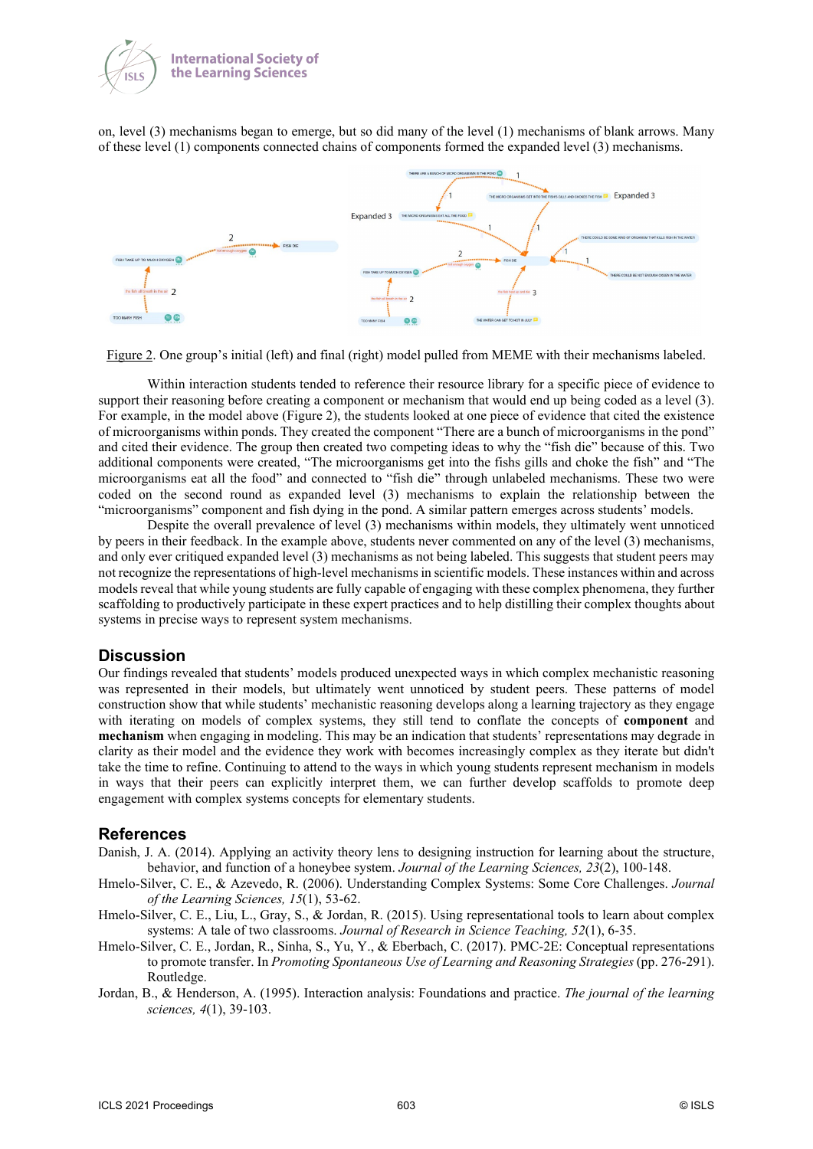

on, level (3) mechanisms began to emerge, but so did many of the level (1) mechanisms of blank arrows. Many of these level (1) components connected chains of components formed the expanded level (3) mechanisms.



Figure 2. One group's initial (left) and final (right) model pulled from MEME with their mechanisms labeled.

Within interaction students tended to reference their resource library for a specific piece of evidence to support their reasoning before creating a component or mechanism that would end up being coded as a level (3). For example, in the model above (Figure 2), the students looked at one piece of evidence that cited the existence of microorganisms within ponds. They created the component "There are a bunch of microorganisms in the pond" and cited their evidence. The group then created two competing ideas to why the "fish die" because of this. Two additional components were created, "The microorganisms get into the fishs gills and choke the fish" and "The microorganisms eat all the food" and connected to "fish die" through unlabeled mechanisms. These two were coded on the second round as expanded level (3) mechanisms to explain the relationship between the "microorganisms" component and fish dying in the pond. A similar pattern emerges across students' models.

Despite the overall prevalence of level (3) mechanisms within models, they ultimately went unnoticed by peers in their feedback. In the example above, students never commented on any of the level (3) mechanisms, and only ever critiqued expanded level (3) mechanisms as not being labeled. This suggests that student peers may not recognize the representations of high-level mechanisms in scientific models. These instances within and across models reveal that while young students are fully capable of engaging with these complex phenomena, they further scaffolding to productively participate in these expert practices and to help distilling their complex thoughts about systems in precise ways to represent system mechanisms.

### **Discussion**

Our findings revealed that students' models produced unexpected ways in which complex mechanistic reasoning was represented in their models, but ultimately went unnoticed by student peers. These patterns of model construction show that while students' mechanistic reasoning develops along a learning trajectory as they engage with iterating on models of complex systems, they still tend to conflate the concepts of **component** and **mechanism** when engaging in modeling. This may be an indication that students' representations may degrade in clarity as their model and the evidence they work with becomes increasingly complex as they iterate but didn't take the time to refine. Continuing to attend to the ways in which young students represent mechanism in models in ways that their peers can explicitly interpret them, we can further develop scaffolds to promote deep engagement with complex systems concepts for elementary students.

#### **References**

- Danish, J. A. (2014). Applying an activity theory lens to designing instruction for learning about the structure, behavior, and function of a honeybee system. *Journal of the Learning Sciences, 23*(2), 100-148.
- Hmelo-Silver, C. E., & Azevedo, R. (2006). Understanding Complex Systems: Some Core Challenges. *Journal of the Learning Sciences, 15*(1), 53-62.
- Hmelo‐Silver, C. E., Liu, L., Gray, S., & Jordan, R. (2015). Using representational tools to learn about complex systems: A tale of two classrooms. *Journal of Research in Science Teaching, 52*(1), 6-35.
- Hmelo-Silver, C. E., Jordan, R., Sinha, S., Yu, Y., & Eberbach, C. (2017). PMC-2E: Conceptual representations to promote transfer. In *Promoting Spontaneous Use of Learning and Reasoning Strategies* (pp. 276-291). Routledge.
- Jordan, B., & Henderson, A. (1995). Interaction analysis: Foundations and practice. *The journal of the learning sciences, 4*(1), 39-103.